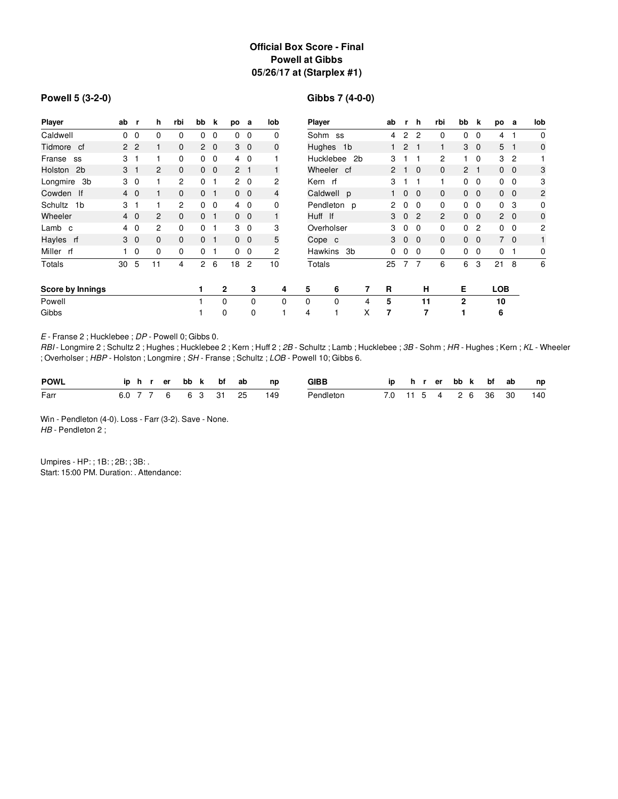# **Official Box Score - Final Powell at Gibbs 05/26/17 at (Starplex #1)**

#### **Powell 5 (3-2-0)**

# **Gibbs 7 (4-0-0)**

| Player                    | ab             | r,             | h              | rbi            | bb           | k              | po             | a              | lob          | <b>Player</b>    |             |                |   | ab             | r.           | h           | rbi            | bb             | k              | po           | а              | lob            |
|---------------------------|----------------|----------------|----------------|----------------|--------------|----------------|----------------|----------------|--------------|------------------|-------------|----------------|---|----------------|--------------|-------------|----------------|----------------|----------------|--------------|----------------|----------------|
| Caldwell                  | $\Omega$       | 0              | 0              | 0              | 0            | 0              | $\Omega$       | $\overline{0}$ | 0            | Sohm ss          |             |                |   | 4              | 2            | 2           | 0              | 0              | 0              | 4            | 1              | 0              |
| Tidmore cf                |                | 2 <sub>2</sub> |                | 0              | $\mathbf{2}$ | $\overline{0}$ |                | 3 <sub>0</sub> | 0            | Hughes 1b        |             |                |   | 1.             | $\mathbf{2}$ |             | 1              | 3              | $\mathbf{0}$   | 5            | -1             | $\mathbf 0$    |
| Franse<br>SS              | 3              |                |                | 0              | 0            | $\mathbf{0}$   |                | $4\quad0$      |              | <b>Hucklebee</b> |             | 2 <sub>b</sub> |   | 3              |              |             | 2              |                | 0              | 3            | $\overline{c}$ |                |
| Holston<br>2 <sub>b</sub> | 3 <sub>1</sub> |                | 2              | 0              |              | $0\quad 0$     | 2 <sub>1</sub> |                |              | Wheeler cf       |             |                |   | $\overline{2}$ |              | $\mathbf 0$ | $\mathbf{0}$   | $\overline{2}$ | $\mathbf{1}$   |              | $0\quad 0$     | 3              |
| Longmire 3b               | 3 <sub>0</sub> |                |                | $\overline{2}$ | 0            | $\mathbf 1$    |                | $2\quad 0$     | 2            | Kern rf          |             |                |   | 3              |              |             | 1              | $\mathbf{0}$   | $\mathbf 0$    |              | $0\quad 0$     | 3              |
| Cowden If                 | $4\quad0$      |                |                | $\mathbf{0}$   | 0            | -1             |                | $0\quad 0$     | 4            | Caldwell p       |             |                |   | $\mathbf{1}$   | $\mathbf{0}$ | $\Omega$    | $\mathbf{0}$   | $\mathbf{0}$   | $\mathbf{0}$   |              | $0\quad 0$     | $\overline{c}$ |
| 1 <sub>b</sub><br>Schultz | 3              |                |                | 2              | 0            | $\mathbf 0$    |                | $4\quad 0$     | 0            | Pendleton p      |             |                |   | 2              | 0            | $\Omega$    | $\Omega$       | 0              | 0              | 0            | 3              | 0              |
| Wheeler                   |                | $4\quad0$      | $\overline{c}$ | 0              | $\mathbf{0}$ | -1             |                | $0\quad 0$     | $\mathbf{1}$ | Huff If          |             |                |   | 3              | $\mathbf{0}$ | 2           | $\overline{2}$ | $\mathbf{0}$   | $\mathbf 0$    |              | $2\quad 0$     | $\mathbf 0$    |
| Lamb c                    | $4\quad0$      |                | 2              | 0              | 0            |                |                | $3\quad 0$     | 3            | Overholser       |             |                |   | 3              | $\mathbf 0$  | $\Omega$    | 0              | 0              | $\overline{c}$ | $\mathbf{0}$ | - 0            | $\overline{c}$ |
| Hayles rf                 |                | 3 <sub>0</sub> | 0              | 0              | 0            |                |                | $0\quad 0$     | 5            | Cope c           |             |                |   | 3              | $\mathbf 0$  | $\mathbf 0$ | $\mathbf{0}$   | $\mathbf{0}$   | $\mathbf{0}$   |              | $7\quad0$      | 1              |
| Miller rf                 |                | 0              | 0              | 0              | 0            |                |                | $0\quad 0$     | 2            | <b>Hawkins</b>   |             | 3b             |   | 0              | 0            | 0           | 0              | 0              | $\mathbf 0$    | 0            | 1              | 0              |
| <b>Totals</b>             | 30             | 5              | 11             | 4              | 2            | 6              | 18             | $\overline{c}$ | 10           | Totals           |             |                |   | 25             | 7            | 7           | 6              | 6              | 3              | 21           | 8              | 6              |
| Score by Innings          |                |                |                |                | 1            |                | 2              | 3              | 4            | 5                | 6           |                | 7 | R              |              | н           |                | Е              |                | <b>LOB</b>   |                |                |
| Powell                    |                |                |                |                |              |                | $\Omega$       | $\Omega$       | $\Omega$     | $\Omega$         | $\mathbf 0$ |                | 4 | 5              |              | 11          |                | $\mathbf{2}$   |                | 10           |                |                |
| Gibbs                     |                |                |                |                |              |                | 0              | $\Omega$       |              | 4                |             |                | X | 7              |              | 7           |                |                |                | 6            |                |                |

*E* - Franse 2 ; Hucklebee ; *DP* - Powell 0; Gibbs 0.

*RBI* - Longmire 2 ; Schultz 2 ; Hughes ; Hucklebee 2 ; Kern ; Huff 2 ; *2B* - Schultz ; Lamb ; Hucklebee ; *3B* - Sohm ; *HR* - Hughes ; Kern ; *KL* - Wheeler ; Overholser ; *HBP* - Holston ; Longmire ; *SH* - Franse ; Schultz ; *LOB* - Powell 10; Gibbs 6.

| <b>POWL</b> | <b>ip</b> | <b>h</b> | er |    | bb k bf | ab | np  | <b>GIBB</b> | ın |  | er. | bb k | bf | ab | np  |
|-------------|-----------|----------|----|----|---------|----|-----|-------------|----|--|-----|------|----|----|-----|
| Farr        | 6.0       |          |    | 63 | -31     | 25 | 149 | Pendleton   |    |  |     | 26   | 36 | 30 | 140 |

Win - Pendleton (4-0). Loss - Farr (3-2). Save - None. *HB* - Pendleton 2 ;

Umpires - HP: ; 1B: ; 2B: ; 3B: . Start: 15:00 PM. Duration: . Attendance: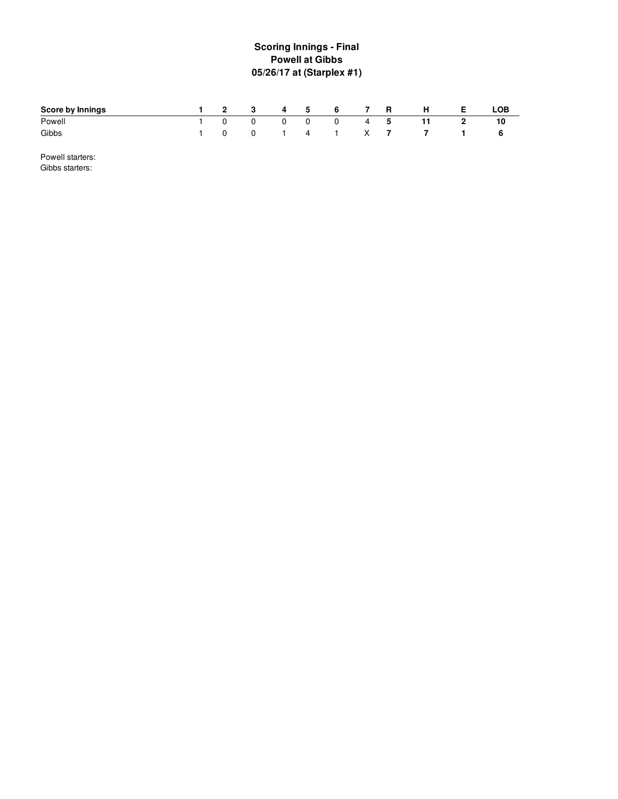# **S c o rin g In nin g s - Fin al Powell at Gibbs 0 5 / 2 6 /1 7 a t ( S ta r ple x # 1 )**

| Score by Innings |  | 2 3 4 5 6 7 R   |  |  | H                   | E | LOB |
|------------------|--|-----------------|--|--|---------------------|---|-----|
| Powell           |  | 1 0 0 0 0 0 4 5 |  |  |                     |   |     |
| Gibbs            |  |                 |  |  | 1 0 0 1 4 1 X 7 7 1 |   |     |

Powell starters: Gibbs starters: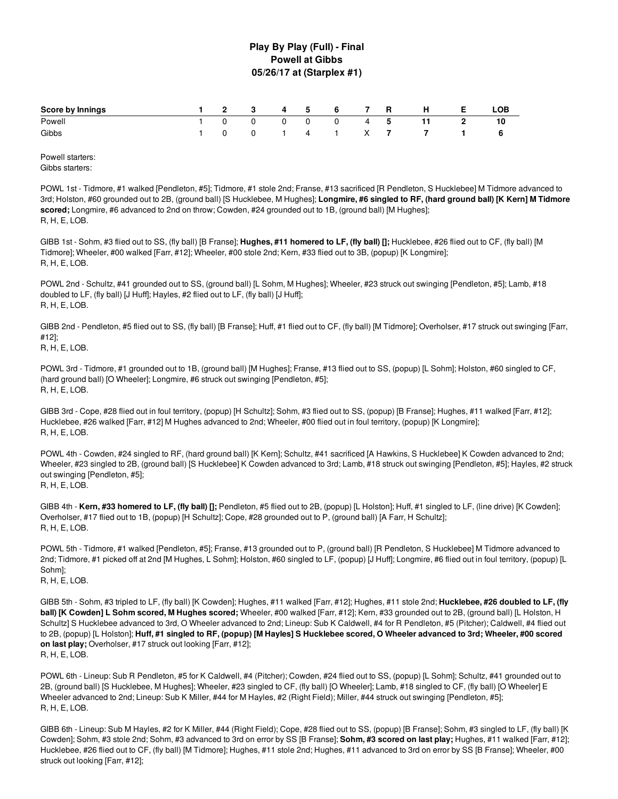## **Play By Play (Full) - Final Powell at Gibbs 05/26/17 at (Starplex #1)**

| 1 2 3 4 5 6 7 R H E<br><b>Score by Innings</b> |  |  |  |  |                      | LOB |
|------------------------------------------------|--|--|--|--|----------------------|-----|
| Powell                                         |  |  |  |  | 1 0 0 0 0 0 4 5 11 2 |     |
| Gibbs                                          |  |  |  |  | 1 0 0 1 4 1 X 7 7 1  | - 6 |

Powell starters: Gibbs starters:

POWL 1st - Tidmore, #1 walked [Pendleton, #5]; Tidmore, #1 stole 2nd; Franse, #13 sacrificed [R Pendleton, S Hucklebee] M Tidmore advanced to 3rd; Holston, #60 grounded out to 2B, (ground ball) [S Hucklebee, M Hughes]; Longmire, #6 singled to RF, (hard ground ball) [K Kern] M Tidmore **scored;** Longmire, #6 advanced to 2nd on throw; Cowden, #24 grounded out to 1B, (ground ball) [M Hughes]; R, H, E, LOB.

GIBB 1st - Sohm, #3 flied out to SS, (fly ball) [B Franse]; **Hughes, #11 homered to LF, (fly ball) [];** Hucklebee, #26 flied out to CF, (fly ball) [M Tidmore]; Wheeler, #00 walked [Farr, #12]; Wheeler, #00 stole 2nd; Kern, #33 flied out to 3B, (popup) [K Longmire]; R, H, E, LOB.

POWL 2nd - Schultz, #41 grounded out to SS, (ground ball) [L Sohm, M Hughes]; Wheeler, #23 struck out swinging [Pendleton, #5]; Lamb, #18 doubled to LF, (fly ball) [J Huff]; Hayles, #2 flied out to LF, (fly ball) [J Huff]; R, H, E, LOB.

GIBB 2nd - Pendleton, #5 flied out to SS, (fly ball) [B Franse]; Huff, #1 flied out to CF, (fly ball) [M Tidmore]; Overholser, #17 struck out swinging [Farr, #12];

R, H, E, LOB.

POWL 3rd - Tidmore, #1 grounded out to 1B, (ground ball) [M Hughes]; Franse, #13 flied out to SS, (popup) [L Sohm]; Holston, #60 singled to CF, (hard ground ball) [O Wheeler]; Longmire, #6 struck out swinging [Pendleton, #5]; R, H, E, LOB.

GIBB 3rd - Cope, #28 flied out in foul territory, (popup) [H Schultz]; Sohm, #3 flied out to SS, (popup) [B Franse]; Hughes, #11 walked [Farr, #12]; Hucklebee, #26 walked [Farr, #12] M Hughes advanced to 2nd; Wheeler, #00 flied out in foul territory, (popup) [K Longmire]; R, H, E, LOB.

POWL 4th - Cowden, #24 singled to RF, (hard ground ball) [K Kern]; Schultz, #41 sacrificed [A Hawkins, S Hucklebee] K Cowden advanced to 2nd; Wheeler, #23 singled to 2B, (ground ball) [S Hucklebee] K Cowden advanced to 3rd; Lamb, #18 struck out swinging [Pendleton, #5]; Hayles, #2 struck out swinging [Pendleton, #5]; R, H, E, LOB.

GIBB 4th - **Kern, #33 homered to LF, (fly ball) [];** Pendleton, #5 flied out to 2B, (popup) [L Holston]; Huff, #1 singled to LF, (line drive) [K Cowden]; Overholser, #17 flied out to 1B, (popup) [H Schultz]; Cope, #28 grounded out to P, (ground ball) [A Farr, H Schultz]; R, H, E, LOB.

POWL 5th - Tidmore, #1 walked [Pendleton, #5]; Franse, #13 grounded out to P, (ground ball) [R Pendleton, S Hucklebee] M Tidmore advanced to 2nd; Tidmore, #1 picked off at 2nd [M Hughes, L Sohm]; Holston, #60 singled to LF, (popup) [J Huff]; Longmire, #6 flied out in foul territory, (popup) [L Sohm]; R, H, E, LOB.

GIBB 5th - Sohm, #3 tripled to LF, (fly ball) [K Cowden]; Hughes, #11 walked [Farr, #12]; Hughes, #11 stole 2nd; **Hucklebee, #26 doubled to LF, (fly ball) [K Cowden] L Sohm scored, M Hughes scored;** Wheeler, #00 walked [Farr, #12]; Kern, #33 grounded out to 2B, (ground ball) [L Holston, H Schultz] S Hucklebee advanced to 3rd, O Wheeler advanced to 2nd; Lineup: Sub K Caldwell, #4 for R Pendleton, #5 (Pitcher); Caldwell, #4 flied out to 2B, (popup) [L Holston]; Huff, #1 singled to RF, (popup) [M Hayles] S Hucklebee scored, O Wheeler advanced to 3rd; Wheeler, #00 scored **on last play;** Overholser, #17 struck out looking [Farr, #12]; R, H, E, LOB.

POWL 6th - Lineup: Sub R Pendleton, #5 for K Caldwell, #4 (Pitcher); Cowden, #24 flied out to SS, (popup) [L Sohm]; Schultz, #41 grounded out to 2B, (ground ball) [S Hucklebee, M Hughes]; Wheeler, #23 singled to CF, (fly ball) [O Wheeler]; Lamb, #18 singled to CF, (fly ball) [O Wheeler] E Wheeler advanced to 2nd; Lineup: Sub K Miller, #44 for M Hayles, #2 (Right Field); Miller, #44 struck out swinging [Pendleton, #5]; R, H, E, LOB.

GIBB 6th - Lineup: Sub M Hayles, #2 for K Miller, #44 (Right Field); Cope, #28 flied out to SS, (popup) [B Franse]; Sohm, #3 singled to LF, (fly ball) [K Cowden]; Sohm, #3 stole 2nd; Sohm, #3 advanced to 3rd on error by SS [B Franse]; **Sohm, #3 scored on last play;** Hughes, #11 walked [Farr, #12]; Hucklebee, #26 flied out to CF, (fly ball) [M Tidmore]; Hughes, #11 stole 2nd; Hughes, #11 advanced to 3rd on error by SS [B Franse]; Wheeler, #00 struck out looking [Farr, #12];